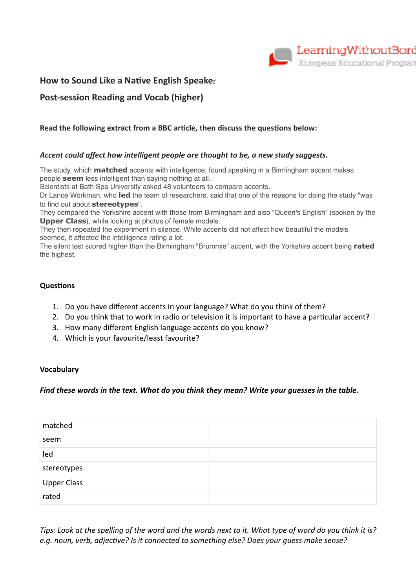

## **How to Sound Like a Native English Speaker**

# **Post-session Reading and Vocab (higher)**

## **Read the following extract from a BBC article, then discuss the questions below:**

## *Accent could affect how intelligent people are thought to be, a new study suggests.*

The study, which **matched** accents with intelligence, found speaking in a Birmingham accent makes people **seem** less intelligent than saying nothing at all.

Scientists at Bath Spa University asked 48 volunteers to compare accents.

Dr Lance Workman, who **led** the team of researchers, said that one of the reasons for doing the study "was to find out about **stereotypes**".

They compared the Yorkshire accent with those from Birmingham and also "Queen's English" (spoken by the **Upper Class**), while looking at photos of female models.

They then repeated the experiment in silence. While accents did not affect how beautiful the models seemed, it affected the intelligence rating a lot.

The silent test scored higher than the Birmingham "Brummie" accent, with the Yorkshire accent being **rated** the highest.

#### **Questions**

- 1. Do you have different accents in your language? What do you think of them?
- 2. Do you think that to work in radio or television it is important to have a particular accent?
- 3. How many different English language accents do you know?
- 4. Which is your favourite/least favourite?

#### **Vocabulary**

#### *Find these words in the text. What do you think they mean? Write your guesses in the table.*

| matched                |  |
|------------------------|--|
| seem                   |  |
| led                    |  |
| stereotypes            |  |
| <b>Upper Class</b>     |  |
| $rac{1}{\text{rated}}$ |  |

*Tips: Look at the spelling of the word and the words next to it. What type of word do you think it is?*  e.g. noun, verb, adjective? Is it connected to something else? Does your guess make sense?